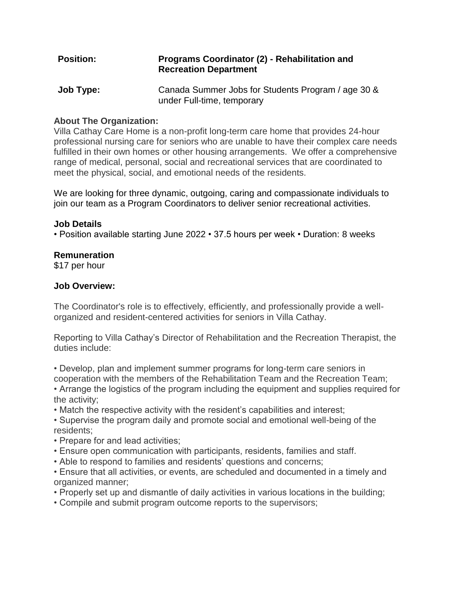# **Position: Programs Coordinator (2) - Rehabilitation and Recreation Department**

**Job Type:** Canada Summer Jobs for Students Program / age 30 & under Full-time, temporary

# **About The Organization:**

Villa Cathay Care Home is a non-profit long-term care home that provides 24-hour professional nursing care for seniors who are unable to have their complex care needs fulfilled in their own homes or other housing arrangements. We offer a comprehensive range of medical, personal, social and recreational services that are coordinated to meet the physical, social, and emotional needs of the residents.

We are looking for three dynamic, outgoing, caring and compassionate individuals to join our team as a Program Coordinators to deliver senior recreational activities.

## **Job Details**

• Position available starting June 2022 • 37.5 hours per week • Duration: 8 weeks

## **Remuneration**

\$17 per hour

# **Job Overview:**

The Coordinator's role is to effectively, efficiently, and professionally provide a wellorganized and resident-centered activities for seniors in Villa Cathay.

Reporting to Villa Cathay's Director of Rehabilitation and the Recreation Therapist, the duties include:

• Develop, plan and implement summer programs for long-term care seniors in cooperation with the members of the Rehabilitation Team and the Recreation Team;

- Arrange the logistics of the program including the equipment and supplies required for the activity;
- Match the respective activity with the resident's capabilities and interest;
- Supervise the program daily and promote social and emotional well-being of the residents;
- Prepare for and lead activities;
- Ensure open communication with participants, residents, families and staff.
- Able to respond to families and residents' questions and concerns;

• Ensure that all activities, or events, are scheduled and documented in a timely and organized manner;

- Properly set up and dismantle of daily activities in various locations in the building;
- Compile and submit program outcome reports to the supervisors;